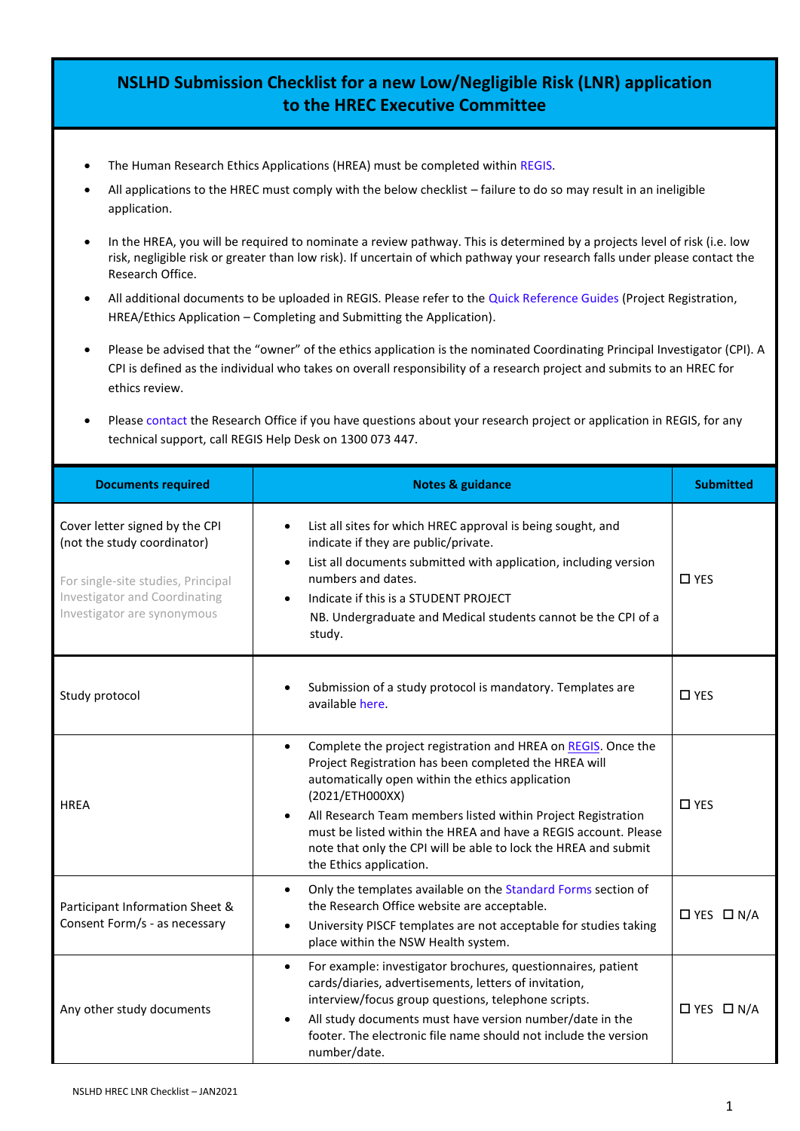## **NSLHD Submission Checklist for a new Low/Negligible Risk (LNR) application to the HREC Executive Committee**

- The Human Research Ethics Applications (HREA) must be completed within [REGIS.](https://regis.health.nsw.gov.au/)
- All applications to the HREC must comply with the below checklist failure to do so may result in an ineligible application.
- In the HREA, you will be required to nominate a review pathway. This is determined by a projects level of risk (i.e. low risk, negligible risk or greater than low risk). If uncertain of which pathway your research falls under please contact the Research Office.
- All additional documents to be uploaded in REGIS. Please refer to the [Quick Reference Guides](https://regis.health.nsw.gov.au/how-to/) (Project Registration, HREA/Ethics Application – Completing and Submitting the Application).
- Please be advised that the "owner" of the ethics application is the nominated Coordinating Principal Investigator (CPI). A CPI is defined as the individual who takes on overall responsibility of a research project and submits to an HREC for ethics review.
- Please [contact](https://www.nslhd.health.nsw.gov.au/Research/ResearchOffice/Pages/default.aspx) the Research Office if you have questions about your research project or application in REGIS, for any technical support, call REGIS Help Desk on 1300 073 447.

| <b>Documents required</b>                                                                                                                                                  | <b>Notes &amp; guidance</b>                                                                                                                                                                                                                                                                                                                                                                                                                 | <b>Submitted</b>      |
|----------------------------------------------------------------------------------------------------------------------------------------------------------------------------|---------------------------------------------------------------------------------------------------------------------------------------------------------------------------------------------------------------------------------------------------------------------------------------------------------------------------------------------------------------------------------------------------------------------------------------------|-----------------------|
| Cover letter signed by the CPI<br>(not the study coordinator)<br>For single-site studies, Principal<br><b>Investigator and Coordinating</b><br>Investigator are synonymous | List all sites for which HREC approval is being sought, and<br>$\bullet$<br>indicate if they are public/private.<br>List all documents submitted with application, including version<br>$\bullet$<br>numbers and dates.<br>Indicate if this is a STUDENT PROJECT<br>NB. Undergraduate and Medical students cannot be the CPI of a<br>study.                                                                                                 | $\Box$ YES            |
| Study protocol                                                                                                                                                             | Submission of a study protocol is mandatory. Templates are<br>available here.                                                                                                                                                                                                                                                                                                                                                               | $\square$ YES         |
| <b>HREA</b>                                                                                                                                                                | Complete the project registration and HREA on REGIS. Once the<br>$\bullet$<br>Project Registration has been completed the HREA will<br>automatically open within the ethics application<br>(2021/ETH000XX)<br>All Research Team members listed within Project Registration<br>must be listed within the HREA and have a REGIS account. Please<br>note that only the CPI will be able to lock the HREA and submit<br>the Ethics application. | $\square$ YES         |
| Participant Information Sheet &<br>Consent Form/s - as necessary                                                                                                           | Only the templates available on the Standard Forms section of<br>$\bullet$<br>the Research Office website are acceptable.<br>University PISCF templates are not acceptable for studies taking<br>$\bullet$<br>place within the NSW Health system.                                                                                                                                                                                           | $\Box$ YES $\Box$ N/A |
| Any other study documents                                                                                                                                                  | For example: investigator brochures, questionnaires, patient<br>$\bullet$<br>cards/diaries, advertisements, letters of invitation,<br>interview/focus group questions, telephone scripts.<br>All study documents must have version number/date in the<br>$\bullet$<br>footer. The electronic file name should not include the version<br>number/date.                                                                                       | $\Box$ YES $\Box$ N/A |